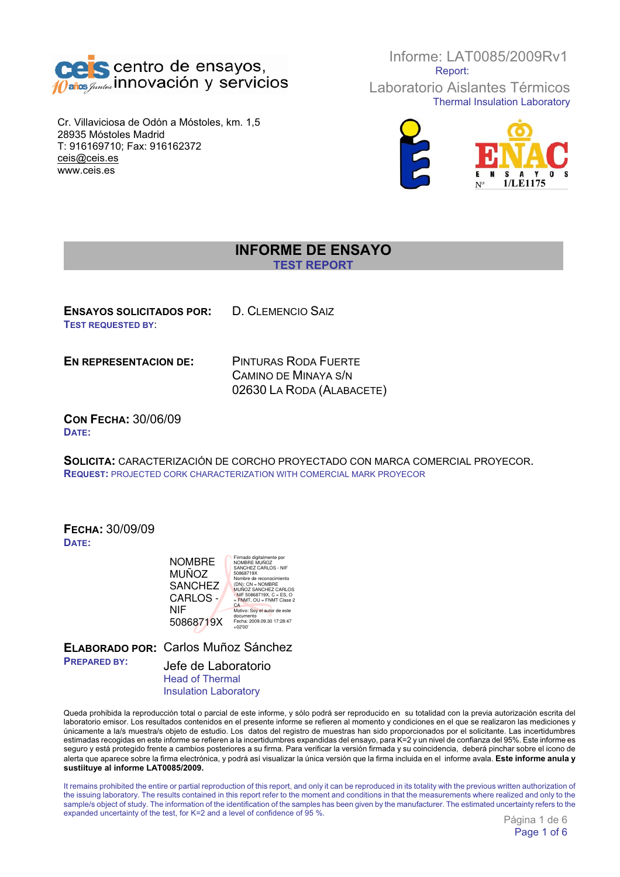

Cr. Villaviciosa de Odón a Móstoles, km. 1,5 28935 Móstoles Madrid T: 916169710; Fax: 916162372 ceis@ceis.es www.ceis.es

Informe: LAT0085/2009Rv1 Report: Laboratorio Aislantes Térmicos Thermal Insulation Laboratory



### **INFORME DE ENSAYO**

**TEST REPORT**

**ENSAYOS SOLICITADOS POR:** D. CLEMENCIO SAIZ **TEST REQUESTED BY**:

**EN REPRESENTACION DE:** PINTURAS RODA FUERTE

CAMINO DE MINAYA S/N 02630 LA RODA (ALABACETE)

**CON FECHA:** 30/06/09 **DATE:**

**SOLICITA:** CARACTERIZACIÓN DE CORCHO PROYECTADO CON MARCA COMERCIAL PROYECOR. **REQUEST:** PROJECTED CORK CHARACTERIZATION WITH COMERCIAL MARK PROYECOR

**FECHA:** 30/09/09 **DATE:**

> NOMBRE MUÑOZ **SANCHEZ** CARLOS - NIF 50868719X Firmado digitalmente por NOMBRE MUÑOZ SANCHEZ CARLOS - NIF 50868719X Nombre de reconocimiento (DN): CN = NOMBRE MUÑOZ SANCHEZ CARLOS - NIF 50868719X, C = ES, O = FNMT, OU = FNMT Clase 2 CA ivo: Soy el autor de este documento Fecha: 2009.09.30 17:28:47 +02'00'

**ELABORADO POR:** Carlos Muñoz Sánchez **PREPARED BY:** Jefe de Laboratorio

Head of Thermal Insulation Laboratory

Queda prohibida la reproducción total o parcial de este informe, y sólo podrá ser reproducido en su totalidad con la previa autorización escrita del laboratorio emisor. Los resultados contenidos en el presente informe se refieren al momento y condiciones en el que se realizaron las mediciones y únicamente a la/s muestra/s objeto de estudio. Los datos del registro de muestras han sido proporcionados por el solicitante. Las incertidumbres estimadas recogidas en este informe se refieren a la incertidumbres expandidas del ensayo, para K=2 y un nivel de confianza del 95%. Este informe es seguro y está protegido frente a cambios posteriores a su firma. Para verificar la versión firmada y su coincidencia, deberá pinchar sobre el icono de alerta que aparece sobre la firma electrónica, y podrá así visualizar la única versión que la firma incluida en el informe avala. **Este informe anula y sustiituye al informe LAT0085/2009.**

It remains prohibited the entire or partial reproduction of this report, and only it can be reproduced in its totality with the previous written authorization of the issuing laboratory. The results contained in this report refer to the moment and conditions in that the measurements where realized and only to the sample/s object of study. The information of the identification of the samples has been given by the manufacturer. The estimated uncertainty refers to the expanded uncertainty of the test, for K=2 and a level of confidence of 95 %.

Página 1 de 6 Page 1 of 6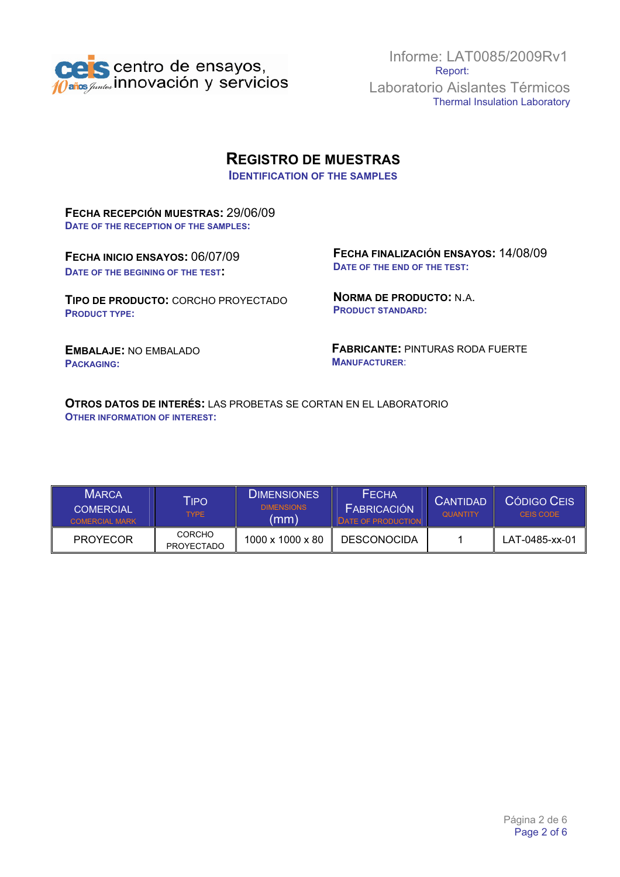

Informe: LAT0085/2009Rv1 Report: Laboratorio Aislantes Térmicos Thermal Insulation Laboratory

## **REGISTRO DE MUESTRAS**

**IDENTIFICATION OF THE SAMPLES**

**FECHA RECEPCIÓN MUESTRAS:** 29/06/09 **DATE OF THE RECEPTION OF THE SAMPLES:**

**FECHA INICIO ENSAYOS:** 06/07/09 **DATE OF THE BEGINING OF THE TEST:**

**TIPO DE PRODUCTO:** CORCHO PROYECTADO **PRODUCT TYPE:**

**FECHA FINALIZACIÓN ENSAYOS:** 14/08/09 **DATE OF THE END OF THE TEST:**

**NORMA DE PRODUCTO:** N.A. **PRODUCT STANDARD:**

**FABRICANTE:** PINTURAS RODA FUERTE **MANUFACTURER**:

**EMBALAJE:** NO EMBALADO **PACKAGING:**

**OTROS DATOS DE INTERÉS:** LAS PROBETAS SE CORTAN EN EL LABORATORIO **OTHER INFORMATION OF INTEREST:**

| <b>MARCA</b><br><b>COMERCIAL</b><br><b>COMERCIAL MARK</b> | TIPO<br><b>TYPE</b>                | <b>DIMENSIONES</b><br><b>DIMENSIONS</b><br>(mm) | <b>FECHA</b><br><b>FABRICACIÓN</b><br>DATE OF PRODUCTION | CANTIDAD<br><b>QUANTITY</b> | CÓDIGO CEIS<br>CEIS CODE |
|-----------------------------------------------------------|------------------------------------|-------------------------------------------------|----------------------------------------------------------|-----------------------------|--------------------------|
| <b>PROYECOR</b>                                           | <b>CORCHO</b><br><b>PROYECTADO</b> | $1000 \times 1000 \times 80$                    | <b>DESCONOCIDA</b>                                       |                             | LAT-0485-xx-01           |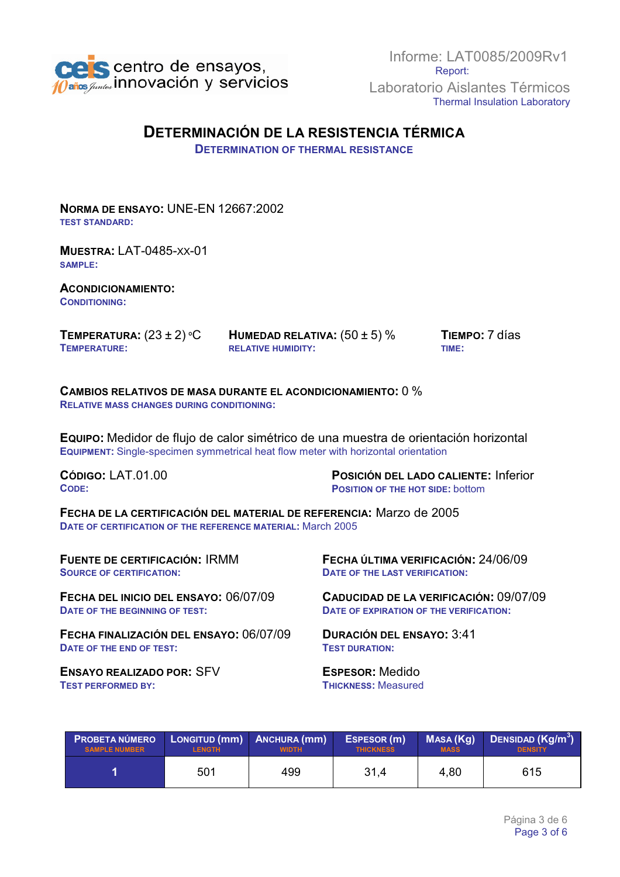

Informe: LAT0085/2009Rv1 Report: Laboratorio Aislantes Térmicos Thermal Insulation Laboratory

## **DETERMINACIÓN DE LA RESISTENCIA TÉRMICA**

**DETERMINATION OF THERMAL RESISTANCE**

**NORMA DE ENSAYO:** UNE-EN 12667:2002 **TEST STANDARD:**

**MUESTRA:** LAT-0485-XX-01 **SAMPLE:**

**ACONDICIONAMIENTO: CONDITIONING:**

| <b>TEMPERATURA:</b> $(23 \pm 2)$ °C | <b>HUMEDAD RELATIVA:</b> $(50 \pm 5)$ % | TIEMPO: 7 días |
|-------------------------------------|-----------------------------------------|----------------|
| TEMPERATURE:                        | <b>RELATIVE HUMIDITY:</b>               | TIME:          |

**CAMBIOS RELATIVOS DE MASA DURANTE EL ACONDICIONAMIENTO:** 0 % **RELATIVE MASS CHANGES DURING CONDITIONING:**

**EQUIPO:** Medidor de flujo de calor simétrico de una muestra de orientación horizontal **EQUIPMENT:** Single-specimen symmetrical heat flow meter with horizontal orientation

**CÓDIGO:** LAT.01.00 **CODE:**

**POSICIÓN DEL LADO CALIENTE:** Inferior **POSITION OF THE HOT SIDE:** bottom

**FECHA DE LA CERTIFICACIÓN DEL MATERIAL DE REFERENCIA:** Marzo de 2005 **DATE OF CERTIFICATION OF THE REFERENCE MATERIAL:** March 2005

| FUENTE DE CERTIFICACIÓN: IRMM           | FECHA ÚLTIMA VERIFICACIÓN: 24/06/09     |
|-----------------------------------------|-----------------------------------------|
| <b>SOURCE OF CERTIFICATION:</b>         | DATE OF THE LAST VERIFICATION:          |
| FECHA DEL INICIO DEL ENSAYO: 06/07/09   | CADUCIDAD DE LA VERIFICACIÓN: 09/07/09  |
| DATE OF THE BEGINNING OF TEST:          | DATE OF EXPIRATION OF THE VERIFICATION: |
| FECHA FINALIZACIÓN DEL ENSAYO: 06/07/09 | <b>DURACIÓN DEL ENSAYO: 3:41</b>        |
| DATE OF THE END OF TEST:                | <b>TEST DURATION:</b>                   |
| <b>FNSAYO REALIZADO POR: SEV</b>        | <b>ESPESOR: Medido</b>                  |

**ENSAYO REALIZADO POR:** SFV **TEST PERFORMED BY:**

**ESPESOR:** Medido **THICKNESS:** Measured

| <b>PROBETA NÚMERO LONGITUD (mm) ANCHURA (mm)</b><br><b>SAMPLE NUMBER</b> | <b>LENGTH</b> | <b>WIDTH</b> | ESPESOR (m)<br><b>THICKNESS</b> | <b>MASS</b> | $\blacksquare$ Masa (Kg) $\blacksquare$ Densidad (Kg/m $^3)^\perp$<br><b>DENSITY</b> |
|--------------------------------------------------------------------------|---------------|--------------|---------------------------------|-------------|--------------------------------------------------------------------------------------|
|                                                                          | 501           | 499          | 31.4                            | 4,80        | 615                                                                                  |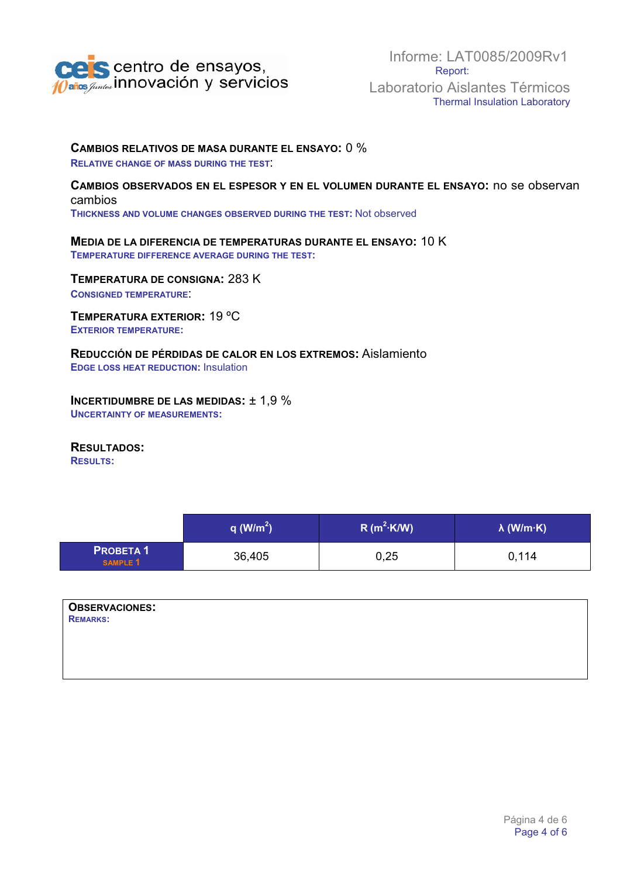

## **CAMBIOS RELATIVOS DE MASA DURANTE EL ENSAYO:** 0 %

**RELATIVE CHANGE OF MASS DURING THE TEST**:

**CAMBIOS OBSERVADOS EN EL ESPESOR Y EN EL VOLUMEN DURANTE EL ENSAYO:** no se observan cambios

**THICKNESS AND VOLUME CHANGES OBSERVED DURING THE TEST:** Not observed

**MEDIA DE LA DIFERENCIA DE TEMPERATURAS DURANTE EL ENSAYO:** 10 K **TEMPERATURE DIFFERENCE AVERAGE DURING THE TEST:**

**TEMPERATURA DE CONSIGNA:** 283 K **CONSIGNED TEMPERATURE**:

**TEMPERATURA EXTERIOR:** 19 ºC **EXTERIOR TEMPERATURE:**

**REDUCCIÓN DE PÉRDIDAS DE CALOR EN LOS EXTREMOS:** Aislamiento **EDGE LOSS HEAT REDUCTION:** Insulation

**INCERTIDUMBRE DE LAS MEDIDAS:** ± 1,9 % **UNCERTAINTY OF MEASUREMENTS:**

**RESULTADOS:**

**RESULTS:**

|                                     | q (W/m <sup>2</sup> ) | $R(m^2-K/W)$ | $\lambda$ (W/m·K) |
|-------------------------------------|-----------------------|--------------|-------------------|
| <b>PROBETA 1</b><br><b>SAMPLE 1</b> | 36,405                | 0,25         | 0,114             |

| <b>OBSERVACIONES:</b> |  |  |
|-----------------------|--|--|
| <b>REMARKS:</b>       |  |  |
|                       |  |  |
|                       |  |  |
|                       |  |  |
|                       |  |  |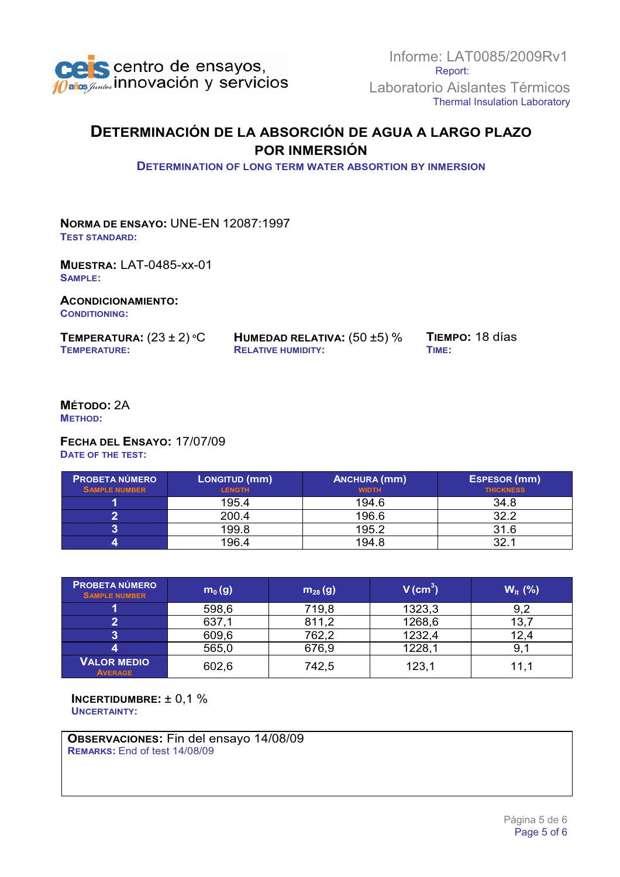

# **DETERMINACIÓN DE LA ABSORCIÓN DE AGUA A LARGO PLAZO POR INMERSIÓN**

**DETERMINATION OF LONG TERM WATER ABSORTION BY INMERSION**

**NORMA DE ENSAYO:** UNE-EN 12087:1997 **TEST STANDARD:**

**MUESTRA:** LAT-0485-xx-01 **SAMPLE:**

**ACONDICIONAMIENTO: CONDITIONING:**

**TEMPERATURA:**  $(23 \pm 2)$  °C **TEMPERATURE:**

**HUMEDAD RELATIVA:** (50 ±5) % **RELATIVE HUMIDITY:**

**TIEMPO:** 18 días **TIME:**

#### **MÉTODO:** 2A **METHOD:**

#### **FECHA DEL ENSAYO:** 17/07/09 **DATE OF THE TEST:**

| <b>PROBETA NÚMERO</b><br><b>SAMPLE NUMBER</b> | <b>LONGITUD (mm)</b><br><b>LENGTH</b> | <b>ANCHURA (mm)</b><br><b>WIDTH</b> | <b>ESPESOR (mm)</b><br><b>THICKNESS</b> |
|-----------------------------------------------|---------------------------------------|-------------------------------------|-----------------------------------------|
|                                               | 195.4                                 | 194.6                               | 34.8                                    |
|                                               | 200.4                                 | 196.6                               | 32.2                                    |
|                                               | 199.8                                 | 195.2                               | 31.6                                    |
|                                               | 196.4                                 | 194.8                               | つつ                                      |

| <b>PROBETA NÚMERO</b><br><b>SAMPLE NUMBER</b> | $m_0(g)$ | $m_{28}$ (g) | $V$ (cm <sup>3</sup> ) | $W_{it}$ (%) |
|-----------------------------------------------|----------|--------------|------------------------|--------------|
|                                               | 598,6    | 719,8        | 1323,3                 | 9,2          |
|                                               | 637,1    | 811,2        | 1268,6                 | 13.          |
|                                               | 609,6    | 762,2        | 1232,4                 | 12.4         |
|                                               | 565,0    | 676,9        | 1228,1                 | 9,           |
| <b>VALOR MEDIO</b><br><b>AVERAGE</b>          | 602,6    | 742,5        | 123,1                  | 11,1         |

**INCERTIDUMBRE:** ± 0,1 % **UNCERTAINTY:**

**OBSERVACIONES:** Fin del ensayo 14/08/09 **REMARKS:** End of test 14/08/09